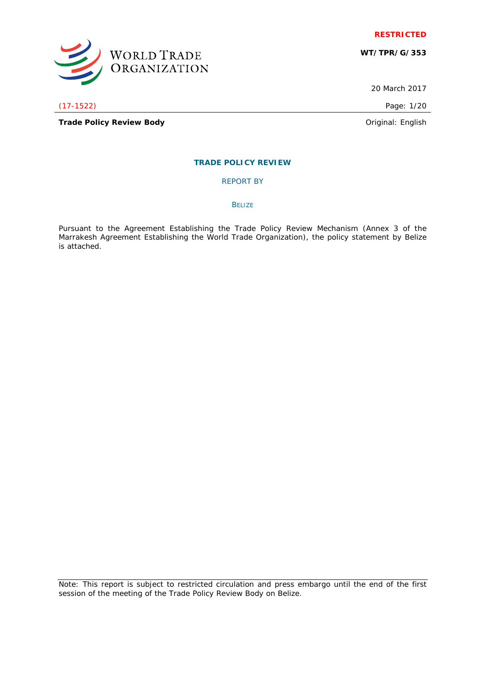

**WT/TPR/G/353**

20 March 2017

(17-1522) Page: 1/20

WORLD TRADE<br>ORGANIZATION

**Trade Policy Review Body Driginal: English Original: English** 

# **TRADE POLICY REVIEW**

REPORT BY

**BELIZE** 

Pursuant to the Agreement Establishing the Trade Policy Review Mechanism (Annex 3 of the Marrakesh Agreement Establishing the World Trade Organization), the policy statement by Belize is attached.

Note: This report is subject to restricted circulation and press embargo until the end of the first session of the meeting of the Trade Policy Review Body on Belize.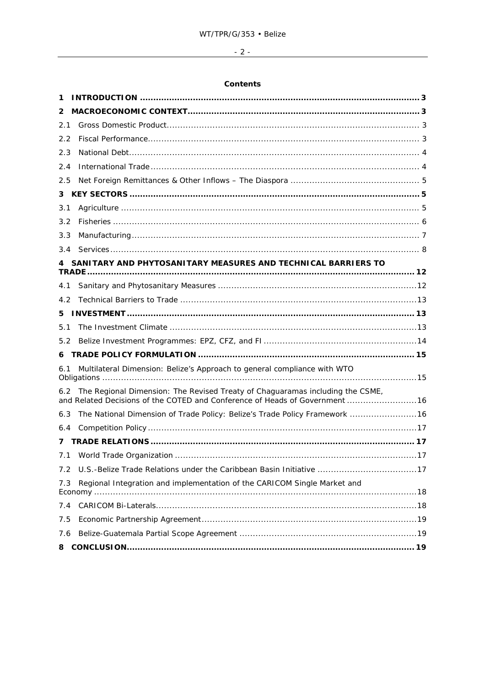# $-2$  -

# **Contents**

| 1   |                                                                                                                                                              |  |
|-----|--------------------------------------------------------------------------------------------------------------------------------------------------------------|--|
| 2   |                                                                                                                                                              |  |
| 2.1 |                                                                                                                                                              |  |
| 2.2 |                                                                                                                                                              |  |
| 2.3 |                                                                                                                                                              |  |
| 2.4 |                                                                                                                                                              |  |
| 2.5 |                                                                                                                                                              |  |
| 3   |                                                                                                                                                              |  |
| 3.1 |                                                                                                                                                              |  |
| 3.2 |                                                                                                                                                              |  |
| 3.3 |                                                                                                                                                              |  |
| 3.4 |                                                                                                                                                              |  |
|     | SANITARY AND PHYTOSANITARY MEASURES AND TECHNICAL BARRIERS TO                                                                                                |  |
| 4.1 |                                                                                                                                                              |  |
| 4.2 |                                                                                                                                                              |  |
| 5.  |                                                                                                                                                              |  |
| 5.1 |                                                                                                                                                              |  |
| 5.2 |                                                                                                                                                              |  |
| 6   |                                                                                                                                                              |  |
| 6.1 | Multilateral Dimension: Belize's Approach to general compliance with WTO                                                                                     |  |
| 6.2 | The Regional Dimension: The Revised Treaty of Chaguaramas including the CSME,<br>and Related Decisions of the COTED and Conference of Heads of Government 16 |  |
| 6.3 | The National Dimension of Trade Policy: Belize's Trade Policy Framework 16                                                                                   |  |
| 6.4 |                                                                                                                                                              |  |
| 7   |                                                                                                                                                              |  |
| 7.1 |                                                                                                                                                              |  |
| 7.2 | U.S.-Belize Trade Relations under the Caribbean Basin Initiative 17                                                                                          |  |
| 7.3 | Regional Integration and implementation of the CARICOM Single Market and                                                                                     |  |
| 7.4 |                                                                                                                                                              |  |
| 7.5 |                                                                                                                                                              |  |
| 7.6 |                                                                                                                                                              |  |
| 8   |                                                                                                                                                              |  |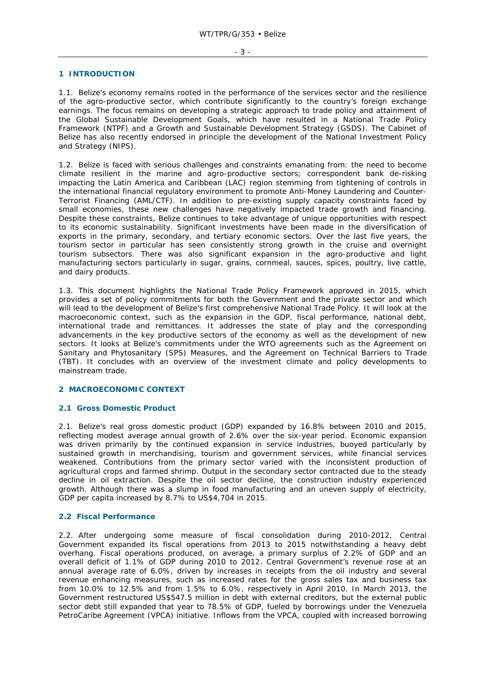#### **1 INTRODUCTION**

1.1. Belize's economy remains rooted in the performance of the services sector and the resilience of the agro-productive sector, which contribute significantly to the country's foreign exchange earnings. The focus remains on developing a strategic approach to trade policy and attainment of the Global Sustainable Development Goals, which have resulted in a National Trade Policy Framework (NTPF) and a Growth and Sustainable Development Strategy (GSDS). The Cabinet of Belize has also recently endorsed in principle the development of the National Investment Policy and Strategy (NIPS).

1.2. Belize is faced with serious challenges and constraints emanating from: the need to become climate resilient in the marine and agro-productive sectors; correspondent bank de-risking impacting the Latin America and Caribbean (LAC) region stemming from tightening of controls in the international financial regulatory environment to promote Anti-Money Laundering and Counter-Terrorist Financing (AML/CTF). In addition to pre-existing supply capacity constraints faced by small economies, these new challenges have negatively impacted trade growth and financing. Despite these constraints, Belize continues to take advantage of unique opportunities with respect to its economic sustainability. Significant investments have been made in the diversification of exports in the primary, secondary, and tertiary economic sectors. Over the last five years, the tourism sector in particular has seen consistently strong growth in the cruise and overnight tourism subsectors. There was also significant expansion in the agro-productive and light manufacturing sectors particularly in sugar, grains, cornmeal, sauces, spices, poultry, live cattle, and dairy products.

1.3. This document highlights the National Trade Policy Framework approved in 2015, which provides a set of policy commitments for both the Government and the private sector and which will lead to the development of Belize's first comprehensive National Trade Policy. It will look at the macroeconomic context, such as the expansion in the GDP, fiscal performance, national debt, international trade and remittances. It addresses the state of play and the corresponding advancements in the key productive sectors of the economy as well as the development of new sectors. It looks at Belize's commitments under the WTO agreements such as the Agreement on Sanitary and Phytosanitary (SPS) Measures, and the Agreement on Technical Barriers to Trade (TBT). It concludes with an overview of the investment climate and policy developments to mainstream trade.

# **2 MACROECONOMIC CONTEXT**

# **2.1 Gross Domestic Product**

2.1. Belize's real gross domestic product (GDP) expanded by 16.8% between 2010 and 2015, reflecting modest average annual growth of 2.6% over the six-year period. Economic expansion was driven primarily by the continued expansion in service industries, buoyed particularly by sustained growth in merchandising, tourism and government services, while financial services weakened. Contributions from the primary sector varied with the inconsistent production of agricultural crops and farmed shrimp. Output in the secondary sector contracted due to the steady decline in oil extraction. Despite the oil sector decline, the construction industry experienced growth. Although there was a slump in food manufacturing and an uneven supply of electricity, GDP per capita increased by 8.7% to US\$4,704 in 2015.

#### **2.2 Fiscal Performance**

2.2. After undergoing some measure of fiscal consolidation during 2010-2012, Central Government expanded its fiscal operations from 2013 to 2015 notwithstanding a heavy debt overhang. Fiscal operations produced, on average, a primary surplus of 2.2% of GDP and an overall deficit of 1.1% of GDP during 2010 to 2012. Central Government's revenue rose at an annual average rate of 6.0%, driven by increases in receipts from the oil industry and several revenue enhancing measures, such as increased rates for the gross sales tax and business tax from 10.0% to 12.5% and from 1.5% to 6.0%, respectively in April 2010. In March 2013, the Government restructured US\$547.5 million in debt with external creditors, but the external public sector debt still expanded that year to 78.5% of GDP, fueled by borrowings under the Venezuela PetroCaribe Agreement (VPCA) initiative. Inflows from the VPCA, coupled with increased borrowing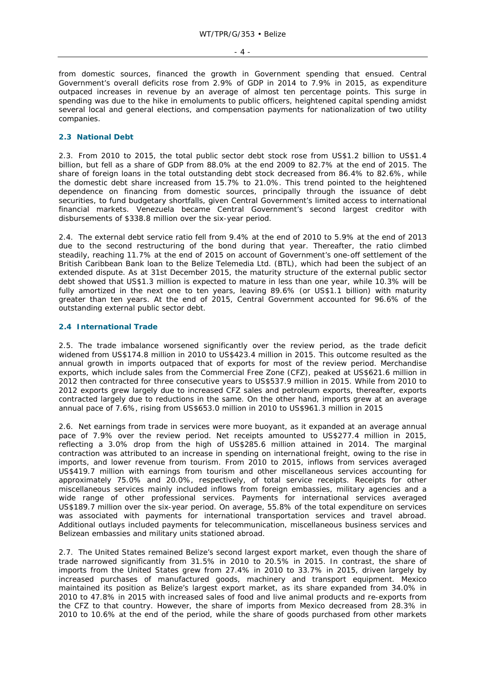$-4$  -

from domestic sources, financed the growth in Government spending that ensued. Central Government's overall deficits rose from 2.9% of GDP in 2014 to 7.9% in 2015, as expenditure outpaced increases in revenue by an average of almost ten percentage points. This surge in spending was due to the hike in emoluments to public officers, heightened capital spending amidst several local and general elections, and compensation payments for nationalization of two utility companies.

# **2.3 National Debt**

2.3. From 2010 to 2015, the total public sector debt stock rose from US\$1.2 billion to US\$1.4 billion, but fell as a share of GDP from 88.0% at the end 2009 to 82.7% at the end of 2015. The share of foreign loans in the total outstanding debt stock decreased from 86.4% to 82.6%, while the domestic debt share increased from 15.7% to 21.0%. This trend pointed to the heightened dependence on financing from domestic sources, principally through the issuance of debt securities, to fund budgetary shortfalls, given Central Government's limited access to international financial markets. Venezuela became Central Government's second largest creditor with disbursements of \$338.8 million over the six-year period.

2.4. The external debt service ratio fell from 9.4% at the end of 2010 to 5.9% at the end of 2013 due to the second restructuring of the bond during that year. Thereafter, the ratio climbed steadily, reaching 11.7% at the end of 2015 on account of Government's one-off settlement of the British Caribbean Bank loan to the Belize Telemedia Ltd. (BTL), which had been the subject of an extended dispute. As at 31st December 2015, the maturity structure of the external public sector debt showed that US\$1.3 million is expected to mature in less than one year, while 10.3% will be fully amortized in the next one to ten years, leaving 89.6% (or US\$1.1 billion) with maturity greater than ten years. At the end of 2015, Central Government accounted for 96.6% of the outstanding external public sector debt.

# **2.4 International Trade**

2.5. The trade imbalance worsened significantly over the review period, as the trade deficit widened from US\$174.8 million in 2010 to US\$423.4 million in 2015. This outcome resulted as the annual growth in imports outpaced that of exports for most of the review period. Merchandise exports, which include sales from the Commercial Free Zone (CFZ), peaked at US\$621.6 million in 2012 then contracted for three consecutive years to US\$537.9 million in 2015. While from 2010 to 2012 exports grew largely due to increased CFZ sales and petroleum exports, thereafter, exports contracted largely due to reductions in the same. On the other hand, imports grew at an average annual pace of 7.6%, rising from US\$653.0 million in 2010 to US\$961.3 million in 2015

2.6. Net earnings from trade in services were more buoyant, as it expanded at an average annual pace of 7.9% over the review period. Net receipts amounted to US\$277.4 million in 2015, reflecting a 3.0% drop from the high of US\$285.6 million attained in 2014. The marginal contraction was attributed to an increase in spending on international freight, owing to the rise in imports, and lower revenue from tourism. From 2010 to 2015, inflows from services averaged US\$419.7 million with earnings from tourism and other miscellaneous services accounting for approximately 75.0% and 20.0%, respectively, of total service receipts. Receipts for other miscellaneous services mainly included inflows from foreign embassies, military agencies and a wide range of other professional services. Payments for international services averaged US\$189.7 million over the six-year period. On average, 55.8% of the total expenditure on services was associated with payments for international transportation services and travel abroad. Additional outlays included payments for telecommunication, miscellaneous business services and Belizean embassies and military units stationed abroad.

2.7. The United States remained Belize's second largest export market, even though the share of trade narrowed significantly from 31.5% in 2010 to 20.5% in 2015. In contrast, the share of imports from the United States grew from 27.4% in 2010 to 33.7% in 2015, driven largely by increased purchases of manufactured goods, machinery and transport equipment. Mexico maintained its position as Belize's largest export market, as its share expanded from 34.0% in 2010 to 47.8% in 2015 with increased sales of food and live animal products and re-exports from the CFZ to that country. However, the share of imports from Mexico decreased from 28.3% in 2010 to 10.6% at the end of the period, while the share of goods purchased from other markets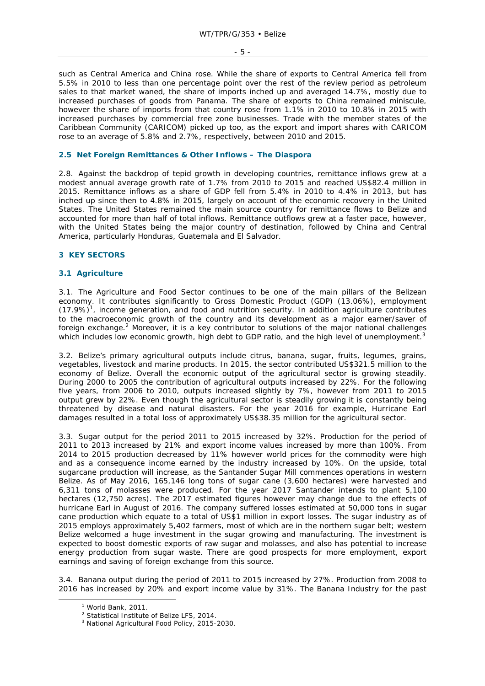- 5 -

such as Central America and China rose. While the share of exports to Central America fell from 5.5% in 2010 to less than one percentage point over the rest of the review period as petroleum sales to that market waned, the share of imports inched up and averaged 14.7%, mostly due to increased purchases of goods from Panama. The share of exports to China remained miniscule, however the share of imports from that country rose from 1.1% in 2010 to 10.8% in 2015 with increased purchases by commercial free zone businesses. Trade with the member states of the Caribbean Community (CARICOM) picked up too, as the export and import shares with CARICOM rose to an average of 5.8% and 2.7%, respectively, between 2010 and 2015.

# **2.5 Net Foreign Remittances & Other Inflows – The Diaspora**

2.8. Against the backdrop of tepid growth in developing countries, remittance inflows grew at a modest annual average growth rate of 1.7% from 2010 to 2015 and reached US\$82.4 million in 2015. Remittance inflows as a share of GDP fell from 5.4% in 2010 to 4.4% in 2013, but has inched up since then to 4.8% in 2015, largely on account of the economic recovery in the United States. The United States remained the main source country for remittance flows to Belize and accounted for more than half of total inflows. Remittance outflows grew at a faster pace, however, with the United States being the major country of destination, followed by China and Central America, particularly Honduras, Guatemala and El Salvador.

# **3 KEY SECTORS**

### **3.1 Agriculture**

3.1. The Agriculture and Food Sector continues to be one of the main pillars of the Belizean economy. It contributes significantly to Gross Domestic Product (GDP) (13.06%), employment  $(17.9%)<sup>1</sup>$ , income generation, and food and nutrition security. In addition agriculture contributes to the macroeconomic growth of the country and its development as a major earner/saver of foreign exchange.<sup>2</sup> Moreover, it is a key contributor to solutions of the major national challenges which includes low economic growth, high debt to GDP ratio, and the high level of unemployment.<sup>3</sup>

3.2. Belize's primary agricultural outputs include citrus, banana, sugar, fruits, legumes, grains, vegetables, livestock and marine products. In 2015, the sector contributed US\$321.5 million to the economy of Belize. Overall the economic output of the agricultural sector is growing steadily. During 2000 to 2005 the contribution of agricultural outputs increased by 22%. For the following five years, from 2006 to 2010, outputs increased slightly by 7%, however from 2011 to 2015 output grew by 22%. Even though the agricultural sector is steadily growing it is constantly being threatened by disease and natural disasters. For the year 2016 for example, Hurricane Earl damages resulted in a total loss of approximately US\$38.35 million for the agricultural sector.

3.3. Sugar output for the period 2011 to 2015 increased by 32%. Production for the period of 2011 to 2013 increased by 21% and export income values increased by more than 100%. From 2014 to 2015 production decreased by 11% however world prices for the commodity were high and as a consequence income earned by the industry increased by 10%. On the upside, total sugarcane production will increase, as the Santander Sugar Mill commences operations in western Belize. As of May 2016, 165,146 long tons of sugar cane (3,600 hectares) were harvested and 6,311 tons of molasses were produced. For the year 2017 Santander intends to plant 5,100 hectares (12,750 acres). The 2017 estimated figures however may change due to the effects of hurricane Earl in August of 2016. The company suffered losses estimated at 50,000 tons in sugar cane production which equate to a total of US\$1 million in export losses. The sugar industry as of 2015 employs approximately 5,402 farmers, most of which are in the northern sugar belt; western Belize welcomed a huge investment in the sugar growing and manufacturing. The investment is expected to boost domestic exports of raw sugar and molasses, and also has potential to increase energy production from sugar waste. There are good prospects for more employment, export earnings and saving of foreign exchange from this source.

3.4. Banana output during the period of 2011 to 2015 increased by 27%. Production from 2008 to 2016 has increased by 20% and export income value by 31%. The Banana Industry for the past

 $\frac{1}{1}$ World Bank, 2011.

<sup>&</sup>lt;sup>2</sup> Statistical Institute of Belize LFS, 2014.

<sup>3</sup> National Agricultural Food Policy, 2015-2030.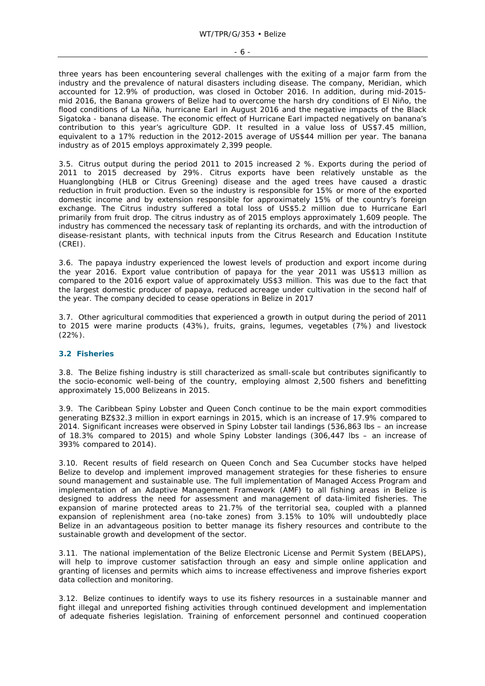three years has been encountering several challenges with the exiting of a major farm from the industry and the prevalence of natural disasters including disease. The company, Meridian, which accounted for 12.9% of production, was closed in October 2016. In addition, during mid-2015 mid 2016, the Banana growers of Belize had to overcome the harsh dry conditions of El Niño, the flood conditions of La Niña, hurricane Earl in August 2016 and the negative impacts of the Black Sigatoka - banana disease. The economic effect of Hurricane Earl impacted negatively on banana's contribution to this year's agriculture GDP. It resulted in a value loss of US\$7.45 million, equivalent to a 17% reduction in the 2012-2015 average of US\$44 million per year. The banana industry as of 2015 employs approximately 2,399 people.

3.5. Citrus output during the period 2011 to 2015 increased 2 %. Exports during the period of 2011 to 2015 decreased by 29%. Citrus exports have been relatively unstable as the Huanglongbing (HLB or Citrus Greening) disease and the aged trees have caused a drastic reduction in fruit production. Even so the industry is responsible for 15% or more of the exported domestic income and by extension responsible for approximately 15% of the country's foreign exchange. The Citrus industry suffered a total loss of US\$5.2 million due to Hurricane Earl primarily from fruit drop. The citrus industry as of 2015 employs approximately 1,609 people. The industry has commenced the necessary task of replanting its orchards, and with the introduction of disease-resistant plants, with technical inputs from the Citrus Research and Education Institute (CREI).

3.6. The papaya industry experienced the lowest levels of production and export income during the year 2016. Export value contribution of papaya for the year 2011 was US\$13 million as compared to the 2016 export value of approximately US\$3 million. This was due to the fact that the largest domestic producer of papaya, reduced acreage under cultivation in the second half of the year. The company decided to cease operations in Belize in 2017

3.7. Other agricultural commodities that experienced a growth in output during the period of 2011 to 2015 were marine products (43%), fruits, grains, legumes, vegetables (7%) and livestock (22%).

# **3.2 Fisheries**

3.8. The Belize fishing industry is still characterized as small-scale but contributes significantly to the socio-economic well-being of the country, employing almost 2,500 fishers and benefitting approximately 15,000 Belizeans in 2015.

3.9. The Caribbean Spiny Lobster and Queen Conch continue to be the main export commodities generating BZ\$32.3 million in export earnings in 2015, which is an increase of 17.9% compared to 2014. Significant increases were observed in Spiny Lobster tail landings (536,863 lbs – an increase of 18.3% compared to 2015) and whole Spiny Lobster landings (306,447 lbs – an increase of 393% compared to 2014).

3.10. Recent results of field research on Queen Conch and Sea Cucumber stocks have helped Belize to develop and implement improved management strategies for these fisheries to ensure sound management and sustainable use. The full implementation of Managed Access Program and implementation of an Adaptive Management Framework (AMF) to all fishing areas in Belize is designed to address the need for assessment and management of data-limited fisheries. The expansion of marine protected areas to 21.7% of the territorial sea, coupled with a planned expansion of replenishment area (no-take zones) from 3.15% to 10% will undoubtedly place Belize in an advantageous position to better manage its fishery resources and contribute to the sustainable growth and development of the sector.

3.11. The national implementation of the Belize Electronic License and Permit System (BELAPS), will help to improve customer satisfaction through an easy and simple online application and granting of licenses and permits which aims to increase effectiveness and improve fisheries export data collection and monitoring.

3.12. Belize continues to identify ways to use its fishery resources in a sustainable manner and fight illegal and unreported fishing activities through continued development and implementation of adequate fisheries legislation. Training of enforcement personnel and continued cooperation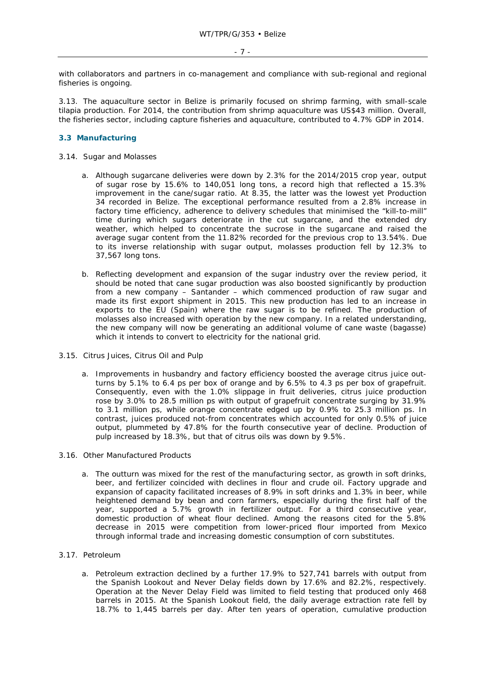with collaborators and partners in co-management and compliance with sub-regional and regional fisheries is ongoing.

3.13. The aquaculture sector in Belize is primarily focused on shrimp farming, with small-scale tilapia production. For 2014, the contribution from shrimp aquaculture was US\$43 million. Overall, the fisheries sector, including capture fisheries and aquaculture, contributed to 4.7% GDP in 2014.

# **3.3 Manufacturing**

#### 3.14. Sugar and Molasses

- a. Although sugarcane deliveries were down by 2.3% for the 2014/2015 crop year, output of sugar rose by 15.6% to 140,051 long tons, a record high that reflected a 15.3% improvement in the cane/sugar ratio. At 8.35, the latter was the lowest yet Production 34 recorded in Belize. The exceptional performance resulted from a 2.8% increase in factory time efficiency, adherence to delivery schedules that minimised the "kill-to-mill" time during which sugars deteriorate in the cut sugarcane, and the extended dry weather, which helped to concentrate the sucrose in the sugarcane and raised the average sugar content from the 11.82% recorded for the previous crop to 13.54%. Due to its inverse relationship with sugar output, molasses production fell by 12.3% to 37,567 long tons.
- b. Reflecting development and expansion of the sugar industry over the review period, it should be noted that cane sugar production was also boosted significantly by production from a new company – Santander – which commenced production of raw sugar and made its first export shipment in 2015. This new production has led to an increase in exports to the EU (Spain) where the raw sugar is to be refined. The production of molasses also increased with operation by the new company. In a related understanding, the new company will now be generating an additional volume of cane waste (bagasse) which it intends to convert to electricity for the national grid.
- 3.15. Citrus Juices, Citrus Oil and Pulp
	- a. Improvements in husbandry and factory efficiency boosted the average citrus juice outturns by 5.1% to 6.4 ps per box of orange and by 6.5% to 4.3 ps per box of grapefruit. Consequently, even with the 1.0% slippage in fruit deliveries, citrus juice production rose by 3.0% to 28.5 million ps with output of grapefruit concentrate surging by 31.9% to 3.1 million ps, while orange concentrate edged up by 0.9% to 25.3 million ps. In contrast, juices produced not-from concentrates which accounted for only 0.5% of juice output, plummeted by 47.8% for the fourth consecutive year of decline. Production of pulp increased by 18.3%, but that of citrus oils was down by 9.5%.
- 3.16. Other Manufactured Products
	- a. The outturn was mixed for the rest of the manufacturing sector, as growth in soft drinks, beer, and fertilizer coincided with declines in flour and crude oil. Factory upgrade and expansion of capacity facilitated increases of 8.9% in soft drinks and 1.3% in beer, while heightened demand by bean and corn farmers, especially during the first half of the year, supported a 5.7% growth in fertilizer output. For a third consecutive year, domestic production of wheat flour declined. Among the reasons cited for the 5.8% decrease in 2015 were competition from lower-priced flour imported from Mexico through informal trade and increasing domestic consumption of corn substitutes.
- 3.17. Petroleum
	- a. Petroleum extraction declined by a further 17.9% to 527,741 barrels with output from the Spanish Lookout and Never Delay fields down by 17.6% and 82.2%, respectively. Operation at the Never Delay Field was limited to field testing that produced only 468 barrels in 2015. At the Spanish Lookout field, the daily average extraction rate fell by 18.7% to 1,445 barrels per day. After ten years of operation, cumulative production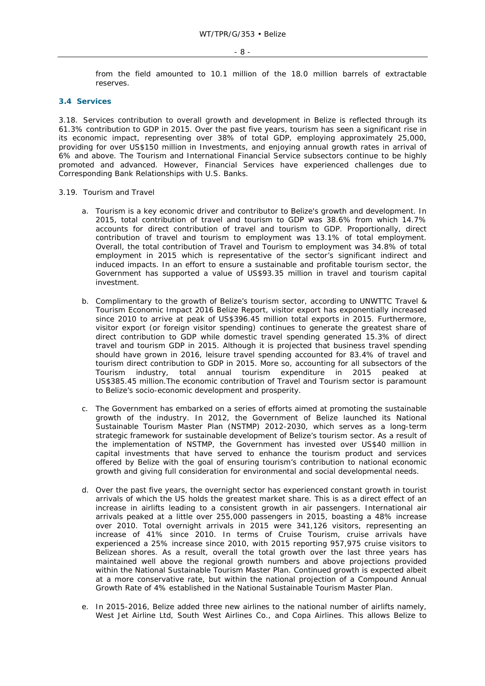from the field amounted to 10.1 million of the 18.0 million barrels of extractable reserves.

# **3.4 Services**

3.18. Services contribution to overall growth and development in Belize is reflected through its 61.3% contribution to GDP in 2015. Over the past five years, tourism has seen a significant rise in its economic impact, representing over 38% of total GDP, employing approximately 25,000, providing for over US\$150 million in Investments, and enjoying annual growth rates in arrival of 6% and above. The Tourism and International Financial Service subsectors continue to be highly promoted and advanced. However, Financial Services have experienced challenges due to Corresponding Bank Relationships with U.S. Banks.

#### 3.19. Tourism and Travel

- a. Tourism is a key economic driver and contributor to Belize's growth and development. In 2015, total contribution of travel and tourism to GDP was 38.6% from which 14.7% accounts for direct contribution of travel and tourism to GDP. Proportionally, direct contribution of travel and tourism to employment was 13.1% of total employment. Overall, the total contribution of Travel and Tourism to employment was 34.8% of total employment in 2015 which is representative of the sector's significant indirect and induced impacts. In an effort to ensure a sustainable and profitable tourism sector, the Government has supported a value of US\$93.35 million in travel and tourism capital investment.
- b. Complimentary to the growth of Belize's tourism sector, according to UNWTTC Travel & Tourism Economic Impact 2016 Belize Report, visitor export has exponentially increased since 2010 to arrive at peak of US\$396.45 million total exports in 2015. Furthermore, visitor export (or foreign visitor spending) continues to generate the greatest share of direct contribution to GDP while domestic travel spending generated 15.3% of direct travel and tourism GDP in 2015. Although it is projected that business travel spending should have grown in 2016, leisure travel spending accounted for 83.4% of travel and tourism direct contribution to GDP in 2015. More so, accounting for all subsectors of the Tourism industry, total annual tourism expenditure in 2015 peaked at US\$385.45 million.The economic contribution of Travel and Tourism sector is paramount to Belize's socio-economic development and prosperity.
- c. The Government has embarked on a series of efforts aimed at promoting the sustainable growth of the industry. In 2012, the Government of Belize launched its National Sustainable Tourism Master Plan (NSTMP) 2012-2030, which serves as a long-term strategic framework for sustainable development of Belize's tourism sector. As a result of the implementation of NSTMP, the Government has invested over US\$40 million in capital investments that have served to enhance the tourism product and services offered by Belize with the goal of ensuring tourism's contribution to national economic growth and giving full consideration for environmental and social developmental needs.
- d. Over the past five years, the overnight sector has experienced constant growth in tourist arrivals of which the US holds the greatest market share. This is as a direct effect of an increase in airlifts leading to a consistent growth in air passengers. International air arrivals peaked at a little over 255,000 passengers in 2015, boasting a 48% increase over 2010. Total overnight arrivals in 2015 were 341,126 visitors, representing an increase of 41% since 2010. In terms of Cruise Tourism, cruise arrivals have experienced a 25% increase since 2010, with 2015 reporting 957,975 cruise visitors to Belizean shores. As a result, overall the total growth over the last three years has maintained well above the regional growth numbers and above projections provided within the National Sustainable Tourism Master Plan. Continued growth is expected albeit at a more conservative rate, but within the national projection of a Compound Annual Growth Rate of 4% established in the National Sustainable Tourism Master Plan.
- e. In 2015-2016, Belize added three new airlines to the national number of airlifts namely, West Jet Airline Ltd, South West Airlines Co., and Copa Airlines. This allows Belize to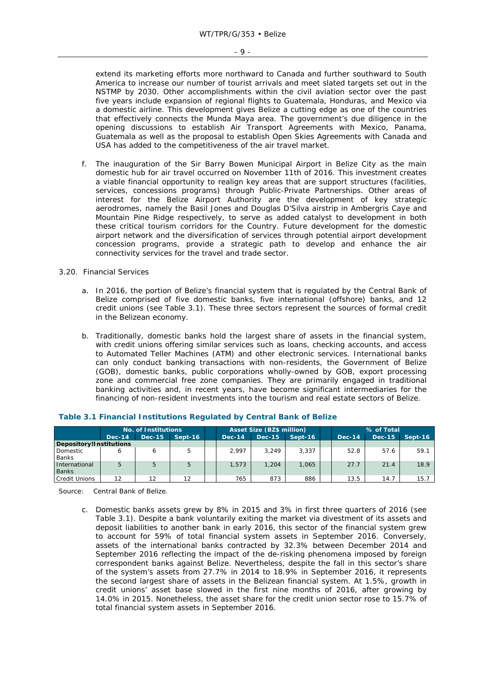extend its marketing efforts more northward to Canada and further southward to South America to increase our number of tourist arrivals and meet slated targets set out in the NSTMP by 2030. Other accomplishments within the civil aviation sector over the past five years include expansion of regional flights to Guatemala, Honduras, and Mexico via a domestic airline. This development gives Belize a cutting edge as one of the countries that effectively connects the Munda Maya area. The government's due diligence in the opening discussions to establish Air Transport Agreements with Mexico, Panama, Guatemala as well as the proposal to establish Open Skies Agreements with Canada and USA has added to the competitiveness of the air travel market.

f. The inauguration of the Sir Barry Bowen Municipal Airport in Belize City as the main domestic hub for air travel occurred on November 11th of 2016. This investment creates a viable financial opportunity to realign key areas that are support structures (facilities, services, concessions programs) through Public-Private Partnerships. Other areas of interest for the Belize Airport Authority are the development of key strategic aerodromes, namely the Basil Jones and Douglas D'Silva airstrip in Ambergris Caye and Mountain Pine Ridge respectively, to serve as added catalyst to development in both these critical tourism corridors for the Country. Future development for the domestic airport network and the diversification of services through potential airport development concession programs, provide a strategic path to develop and enhance the air connectivity services for the travel and trade sector.

### 3.20. Financial Services

- a. In 2016, the portion of Belize's financial system that is regulated by the Central Bank of Belize comprised of five domestic banks, five international (offshore) banks, and 12 credit unions (see Table 3.1). These three sectors represent the sources of formal credit in the Belizean economy.
- b. Traditionally, domestic banks hold the largest share of assets in the financial system, with credit unions offering similar services such as loans, checking accounts, and access to Automated Teller Machines (ATM) and other electronic services. International banks can only conduct banking transactions with non-residents, the Government of Belize (GOB), domestic banks, public corporations wholly-owned by GOB, export processing zone and commercial free zone companies. They are primarily engaged in traditional banking activities and, in recent years, have become significant intermediaries for the financing of non-resident investments into the tourism and real estate sectors of Belize.

|                               | No. of Institutions |               |         |  | <b>Asset Size (BZ\$ million)</b> |        |         |  | % of Total |      |                |  |  |  |
|-------------------------------|---------------------|---------------|---------|--|----------------------------------|--------|---------|--|------------|------|----------------|--|--|--|
|                               | <b>Dec-14</b>       | <b>Dec-15</b> | Sept-16 |  | <b>Dec-14</b>                    | Dec-15 | Sept-16 |  | Dec-14     |      | Dec-15 Sept-16 |  |  |  |
| Depository!Institutions       |                     |               |         |  |                                  |        |         |  |            |      |                |  |  |  |
| Domestic<br><b>Banks</b>      |                     |               |         |  | 2.997                            | 3.249  | 3.337   |  | 52.8       | 57.6 | 59.1           |  |  |  |
| International<br><b>Banks</b> |                     | 5             | 5       |  | 1.573                            | 1.204  | 1,065   |  | 27.7       | 21.4 | 18.9           |  |  |  |
| <b>Credit Unions</b>          | 12                  | 12            | 12      |  | 765                              | 873    | 886     |  | 13.5       | 14.7 | 15.7           |  |  |  |

# **Table 3.1 Financial Institutions Regulated by Central Bank of Belize**

Source: Central Bank of Belize.

c. Domestic banks assets grew by 8% in 2015 and 3% in first three quarters of 2016 (see Table 3.1). Despite a bank voluntarily exiting the market via divestment of its assets and deposit liabilities to another bank in early 2016, this sector of the financial system grew to account for 59% of total financial system assets in September 2016. Conversely, assets of the international banks contracted by 32.3% between December 2014 and September 2016 reflecting the impact of the de-risking phenomena imposed by foreign correspondent banks against Belize. Nevertheless, despite the fall in this sector's share of the system's assets from 27.7% in 2014 to 18.9% in September 2016, it represents the second largest share of assets in the Belizean financial system. At 1.5%, growth in credit unions' asset base slowed in the first nine months of 2016, after growing by 14.0% in 2015. Nonetheless, the asset share for the credit union sector rose to 15.7% of total financial system assets in September 2016.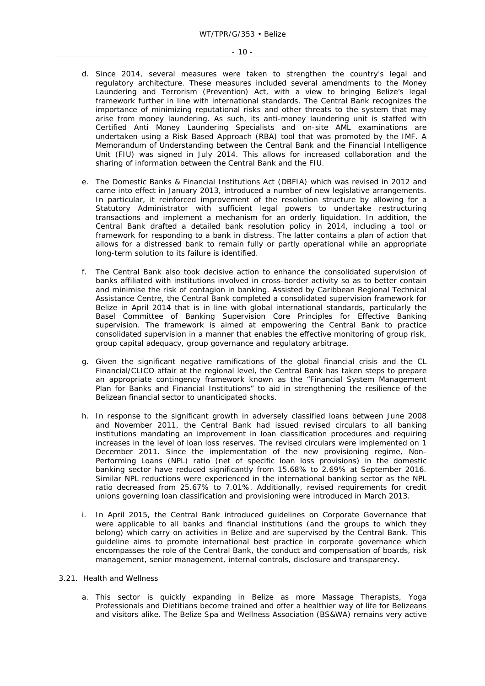- d. Since 2014, several measures were taken to strengthen the country's legal and regulatory architecture. These measures included several amendments to the Money Laundering and Terrorism (Prevention) Act, with a view to bringing Belize's legal framework further in line with international standards. The Central Bank recognizes the importance of minimizing reputational risks and other threats to the system that may arise from money laundering. As such, its anti-money laundering unit is staffed with Certified Anti Money Laundering Specialists and on-site AML examinations are undertaken using a Risk Based Approach (RBA) tool that was promoted by the IMF. A Memorandum of Understanding between the Central Bank and the Financial Intelligence Unit (FIU) was signed in July 2014. This allows for increased collaboration and the sharing of information between the Central Bank and the FIU.
- e. The Domestic Banks & Financial Institutions Act (DBFIA) which was revised in 2012 and came into effect in January 2013, introduced a number of new legislative arrangements. In particular, it reinforced improvement of the resolution structure by allowing for a Statutory Administrator with sufficient legal powers to undertake restructuring transactions and implement a mechanism for an orderly liquidation. In addition, the Central Bank drafted a detailed bank resolution policy in 2014, including a tool or framework for responding to a bank in distress. The latter contains a plan of action that allows for a distressed bank to remain fully or partly operational while an appropriate long-term solution to its failure is identified.
- f. The Central Bank also took decisive action to enhance the consolidated supervision of banks affiliated with institutions involved in cross-border activity so as to better contain and minimise the risk of contagion in banking. Assisted by Caribbean Regional Technical Assistance Centre, the Central Bank completed a consolidated supervision framework for Belize in April 2014 that is in line with global international standards, particularly the Basel Committee of Banking Supervision Core Principles for Effective Banking supervision. The framework is aimed at empowering the Central Bank to practice consolidated supervision in a manner that enables the effective monitoring of group risk, group capital adequacy, group governance and regulatory arbitrage.
- g. Given the significant negative ramifications of the global financial crisis and the CL Financial/CLICO affair at the regional level, the Central Bank has taken steps to prepare an appropriate contingency framework known as the "Financial System Management Plan for Banks and Financial Institutions" to aid in strengthening the resilience of the Belizean financial sector to unanticipated shocks.
- h. In response to the significant growth in adversely classified loans between June 2008 and November 2011, the Central Bank had issued revised circulars to all banking institutions mandating an improvement in loan classification procedures and requiring increases in the level of loan loss reserves. The revised circulars were implemented on 1 December 2011. Since the implementation of the new provisioning regime, Non-Performing Loans (NPL) ratio (net of specific loan loss provisions) in the domestic banking sector have reduced significantly from 15.68% to 2.69% at September 2016. Similar NPL reductions were experienced in the international banking sector as the NPL ratio decreased from 25.67% to 7.01%. Additionally, revised requirements for credit unions governing loan classification and provisioning were introduced in March 2013.
- i. In April 2015, the Central Bank introduced guidelines on Corporate Governance that were applicable to all banks and financial institutions (and the groups to which they belong) which carry on activities in Belize and are supervised by the Central Bank. This guideline aims to promote international best practice in corporate governance which encompasses the role of the Central Bank, the conduct and compensation of boards, risk management, senior management, internal controls, disclosure and transparency.

### 3.21. Health and Wellness

a. This sector is quickly expanding in Belize as more Massage Therapists, Yoga Professionals and Dietitians become trained and offer a healthier way of life for Belizeans and visitors alike. The Belize Spa and Wellness Association (BS&WA) remains very active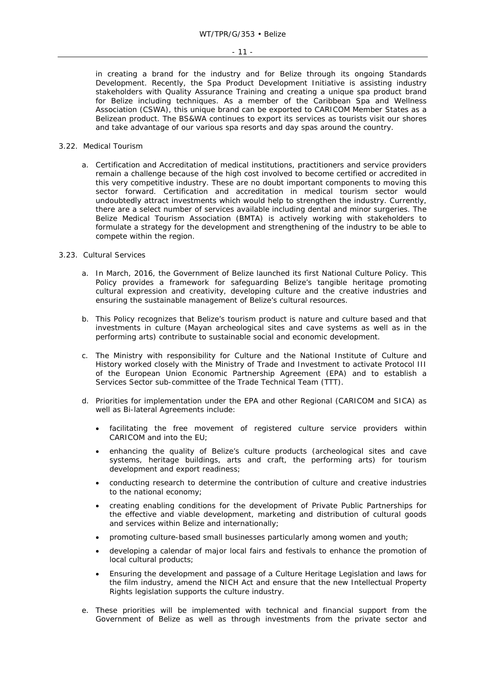in creating a brand for the industry and for Belize through its ongoing Standards Development. Recently, the Spa Product Development Initiative is assisting industry stakeholders with Quality Assurance Training and creating a unique spa product brand for Belize including techniques. As a member of the Caribbean Spa and Wellness Association (CSWA), this unique brand can be exported to CARICOM Member States as a Belizean product. The BS&WA continues to export its services as tourists visit our shores and take advantage of our various spa resorts and day spas around the country.

# 3.22. Medical Tourism

a. Certification and Accreditation of medical institutions, practitioners and service providers remain a challenge because of the high cost involved to become certified or accredited in this very competitive industry. These are no doubt important components to moving this sector forward. Certification and accreditation in medical tourism sector would undoubtedly attract investments which would help to strengthen the industry. Currently, there are a select number of services available including dental and minor surgeries. The Belize Medical Tourism Association (BMTA) is actively working with stakeholders to formulate a strategy for the development and strengthening of the industry to be able to compete within the region.

# 3.23. Cultural Services

- a. In March, 2016, the Government of Belize launched its first National Culture Policy. This Policy provides a framework for safeguarding Belize's tangible heritage promoting cultural expression and creativity, developing culture and the creative industries and ensuring the sustainable management of Belize's cultural resources.
- b. This Policy recognizes that Belize's tourism product is nature and culture based and that investments in culture (Mayan archeological sites and cave systems as well as in the performing arts) contribute to sustainable social and economic development.
- c. The Ministry with responsibility for Culture and the National Institute of Culture and History worked closely with the Ministry of Trade and Investment to activate Protocol III of the European Union Economic Partnership Agreement (EPA) and to establish a Services Sector sub-committee of the Trade Technical Team (TTT).
- d. Priorities for implementation under the EPA and other Regional (CARICOM and SICA) as well as Bi-lateral Agreements include:
	- facilitating the free movement of registered culture service providers within CARICOM and into the EU;
	- enhancing the quality of Belize's culture products (archeological sites and cave systems, heritage buildings, arts and craft, the performing arts) for tourism development and export readiness;
	- conducting research to determine the contribution of culture and creative industries to the national economy;
	- creating enabling conditions for the development of Private Public Partnerships for the effective and viable development, marketing and distribution of cultural goods and services within Belize and internationally;
	- promoting culture-based small businesses particularly among women and youth;
	- developing a calendar of major local fairs and festivals to enhance the promotion of local cultural products;
	- Ensuring the development and passage of a Culture Heritage Legislation and laws for the film industry, amend the NICH Act and ensure that the new Intellectual Property Rights legislation supports the culture industry.
- e. These priorities will be implemented with technical and financial support from the Government of Belize as well as through investments from the private sector and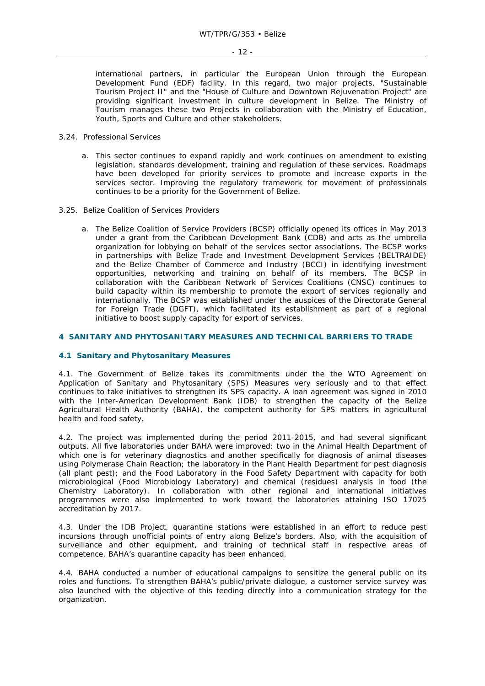international partners, in particular the European Union through the European Development Fund (EDF) facility. In this regard, two major projects, "Sustainable Tourism Project II" and the "House of Culture and Downtown Rejuvenation Project" are providing significant investment in culture development in Belize. The Ministry of Tourism manages these two Projects in collaboration with the Ministry of Education, Youth, Sports and Culture and other stakeholders.

- 3.24. Professional Services
	- a. This sector continues to expand rapidly and work continues on amendment to existing legislation, standards development, training and regulation of these services. Roadmaps have been developed for priority services to promote and increase exports in the services sector. Improving the regulatory framework for movement of professionals continues to be a priority for the Government of Belize.
- 3.25. Belize Coalition of Services Providers
	- a. The Belize Coalition of Service Providers (BCSP) officially opened its offices in May 2013 under a grant from the Caribbean Development Bank (CDB) and acts as the umbrella organization for lobbying on behalf of the services sector associations. The BCSP works in partnerships with Belize Trade and Investment Development Services (BELTRAIDE) and the Belize Chamber of Commerce and Industry (BCCI) in identifying investment opportunities, networking and training on behalf of its members. The BCSP in collaboration with the Caribbean Network of Services Coalitions (CNSC) continues to build capacity within its membership to promote the export of services regionally and internationally. The BCSP was established under the auspices of the Directorate General for Foreign Trade (DGFT), which facilitated its establishment as part of a regional initiative to boost supply capacity for export of services.

# **4 SANITARY AND PHYTOSANITARY MEASURES AND TECHNICAL BARRIERS TO TRADE**

# **4.1 Sanitary and Phytosanitary Measures**

4.1. The Government of Belize takes its commitments under the the WTO Agreement on Application of Sanitary and Phytosanitary (SPS) Measures very seriously and to that effect continues to take initiatives to strengthen its SPS capacity. A loan agreement was signed in 2010 with the Inter-American Development Bank (IDB) to strengthen the capacity of the Belize Agricultural Health Authority (BAHA), the competent authority for SPS matters in agricultural health and food safety.

4.2. The project was implemented during the period 2011-2015, and had several significant outputs. All five laboratories under BAHA were improved: two in the Animal Health Department of which one is for veterinary diagnostics and another specifically for diagnosis of animal diseases using Polymerase Chain Reaction; the laboratory in the Plant Health Department for pest diagnosis (all plant pest); and the Food Laboratory in the Food Safety Department with capacity for both microbiological (Food Microbiology Laboratory) and chemical (residues) analysis in food (the Chemistry Laboratory). In collaboration with other regional and international initiatives programmes were also implemented to work toward the laboratories attaining ISO 17025 accreditation by 2017.

4.3. Under the IDB Project, quarantine stations were established in an effort to reduce pest incursions through unofficial points of entry along Belize's borders. Also, with the acquisition of surveillance and other equipment, and training of technical staff in respective areas of competence, BAHA's quarantine capacity has been enhanced.

4.4. BAHA conducted a number of educational campaigns to sensitize the general public on its roles and functions. To strengthen BAHA's public/private dialogue, a customer service survey was also launched with the objective of this feeding directly into a communication strategy for the organization.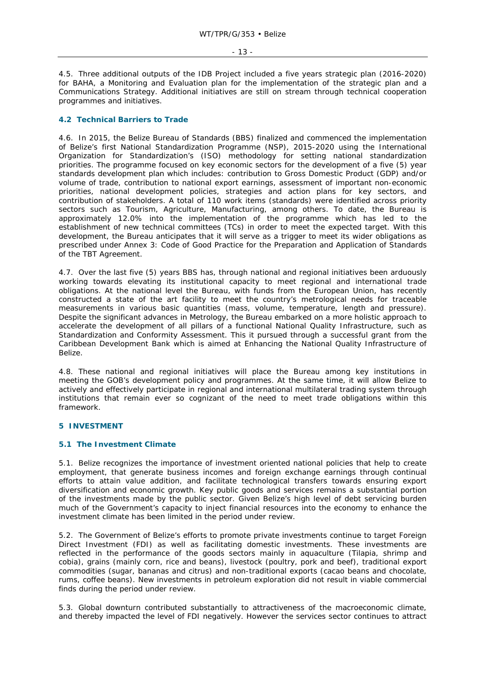4.5. Three additional outputs of the IDB Project included a five years strategic plan (2016-2020) for BAHA, a Monitoring and Evaluation plan for the implementation of the strategic plan and a Communications Strategy. Additional initiatives are still on stream through technical cooperation programmes and initiatives.

# **4.2 Technical Barriers to Trade**

4.6. In 2015, the Belize Bureau of Standards (BBS) finalized and commenced the implementation of Belize's first National Standardization Programme (NSP), 2015-2020 using the International Organization for Standardization's (ISO) methodology for setting national standardization priorities. The programme focused on key economic sectors for the development of a five (5) year standards development plan which includes: contribution to Gross Domestic Product (GDP) and/or volume of trade, contribution to national export earnings, assessment of important non-economic priorities, national development policies, strategies and action plans for key sectors, and contribution of stakeholders. A total of 110 work items (standards) were identified across priority sectors such as Tourism, Agriculture, Manufacturing, among others. To date, the Bureau is approximately 12.0% into the implementation of the programme which has led to the establishment of new technical committees (TCs) in order to meet the expected target. With this development, the Bureau anticipates that it will serve as a trigger to meet its wider obligations as prescribed under Annex 3: Code of Good Practice for the Preparation and Application of Standards of the TBT Agreement.

4.7. Over the last five (5) years BBS has, through national and regional initiatives been arduously working towards elevating its institutional capacity to meet regional and international trade obligations. At the national level the Bureau, with funds from the European Union, has recently constructed a state of the art facility to meet the country's metrological needs for traceable measurements in various basic quantities (mass, volume, temperature, length and pressure). Despite the significant advances in Metrology, the Bureau embarked on a more holistic approach to accelerate the development of all pillars of a functional National Quality Infrastructure, such as Standardization and Conformity Assessment. This it pursued through a successful grant from the Caribbean Development Bank which is aimed at Enhancing the National Quality Infrastructure of Belize.

4.8. These national and regional initiatives will place the Bureau among key institutions in meeting the GOB's development policy and programmes. At the same time, it will allow Belize to actively and effectively participate in regional and international multilateral trading system through institutions that remain ever so cognizant of the need to meet trade obligations within this framework.

# **5 INVESTMENT**

# **5.1 The Investment Climate**

5.1. Belize recognizes the importance of investment oriented national policies that help to create employment, that generate business incomes and foreign exchange earnings through continual efforts to attain value addition, and facilitate technological transfers towards ensuring export diversification and economic growth. Key public goods and services remains a substantial portion of the investments made by the public sector. Given Belize's high level of debt servicing burden much of the Government's capacity to inject financial resources into the economy to enhance the investment climate has been limited in the period under review.

5.2. The Government of Belize's efforts to promote private investments continue to target Foreign Direct Investment (FDI) as well as facilitating domestic investments. These investments are reflected in the performance of the goods sectors mainly in aquaculture (Tilapia, shrimp and cobia), grains (mainly corn, rice and beans), livestock (poultry, pork and beef), traditional export commodities (sugar, bananas and citrus) and non-traditional exports (cacao beans and chocolate, rums, coffee beans). New investments in petroleum exploration did not result in viable commercial finds during the period under review.

5.3. Global downturn contributed substantially to attractiveness of the macroeconomic climate, and thereby impacted the level of FDI negatively. However the services sector continues to attract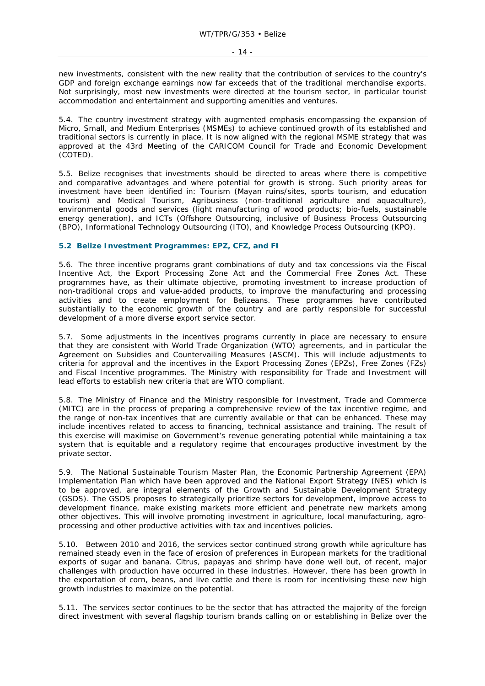new investments, consistent with the new reality that the contribution of services to the country's GDP and foreign exchange earnings now far exceeds that of the traditional merchandise exports. Not surprisingly, most new investments were directed at the tourism sector, in particular tourist accommodation and entertainment and supporting amenities and ventures.

5.4. The country investment strategy with augmented emphasis encompassing the expansion of Micro, Small, and Medium Enterprises (MSMEs) to achieve continued growth of its established and traditional sectors is currently in place. It is now aligned with the regional MSME strategy that was approved at the 43rd Meeting of the CARICOM Council for Trade and Economic Development (COTED).

5.5. Belize recognises that investments should be directed to areas where there is competitive and comparative advantages and where potential for growth is strong. Such priority areas for investment have been identified in: Tourism (Mayan ruins/sites, sports tourism, and education tourism) and Medical Tourism, Agribusiness (non-traditional agriculture and aquaculture), environmental goods and services (light manufacturing of wood products; bio-fuels, sustainable energy generation), and ICTs (Offshore Outsourcing, inclusive of Business Process Outsourcing (BPO), Informational Technology Outsourcing (ITO), and Knowledge Process Outsourcing (KPO).

# **5.2 Belize Investment Programmes: EPZ, CFZ, and FI**

5.6. The three incentive programs grant combinations of duty and tax concessions via the Fiscal Incentive Act, the Export Processing Zone Act and the Commercial Free Zones Act. These programmes have, as their ultimate objective, promoting investment to increase production of non-traditional crops and value-added products, to improve the manufacturing and processing activities and to create employment for Belizeans. These programmes have contributed substantially to the economic growth of the country and are partly responsible for successful development of a more diverse export service sector.

5.7. Some adjustments in the incentives programs currently in place are necessary to ensure that they are consistent with World Trade Organization (WTO) agreements, and in particular the Agreement on Subsidies and Countervailing Measures (ASCM). This will include adjustments to criteria for approval and the incentives in the Export Processing Zones (EPZs), Free Zones (FZs) and Fiscal Incentive programmes. The Ministry with responsibility for Trade and Investment will lead efforts to establish new criteria that are WTO compliant.

5.8. The Ministry of Finance and the Ministry responsible for Investment, Trade and Commerce (MITC) are in the process of preparing a comprehensive review of the tax incentive regime, and the range of non-tax incentives that are currently available or that can be enhanced. These may include incentives related to access to financing, technical assistance and training. The result of this exercise will maximise on Government's revenue generating potential while maintaining a tax system that is equitable and a regulatory regime that encourages productive investment by the private sector.

5.9. The National Sustainable Tourism Master Plan, the Economic Partnership Agreement (EPA) Implementation Plan which have been approved and the National Export Strategy (NES) which is to be approved, are integral elements of the Growth and Sustainable Development Strategy (GSDS). The GSDS proposes to strategically prioritize sectors for development, improve access to development finance, make existing markets more efficient and penetrate new markets among other objectives. This will involve promoting investment in agriculture, local manufacturing, agroprocessing and other productive activities with tax and incentives policies.

5.10. Between 2010 and 2016, the services sector continued strong growth while agriculture has remained steady even in the face of erosion of preferences in European markets for the traditional exports of sugar and banana. Citrus, papayas and shrimp have done well but, of recent, major challenges with production have occurred in these industries. However, there has been growth in the exportation of corn, beans, and live cattle and there is room for incentivising these new high growth industries to maximize on the potential.

5.11. The services sector continues to be the sector that has attracted the majority of the foreign direct investment with several flagship tourism brands calling on or establishing in Belize over the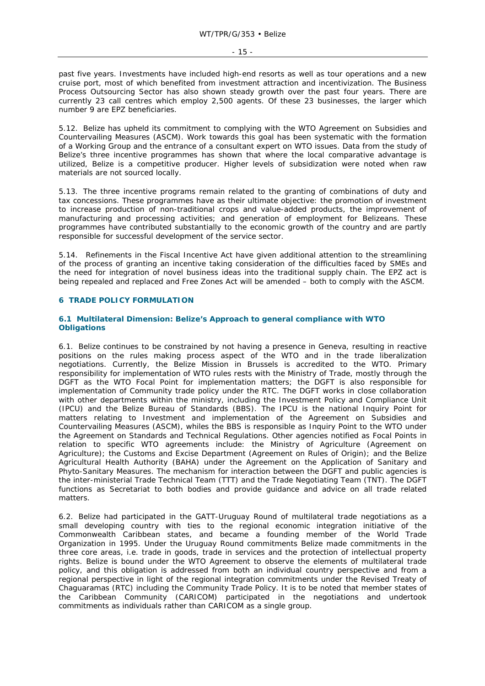past five years. Investments have included high-end resorts as well as tour operations and a new cruise port, most of which benefited from investment attraction and incentivization. The Business Process Outsourcing Sector has also shown steady growth over the past four years. There are currently 23 call centres which employ 2,500 agents. Of these 23 businesses, the larger which number 9 are EPZ beneficiaries.

5.12. Belize has upheld its commitment to complying with the WTO Agreement on Subsidies and Countervailing Measures (ASCM). Work towards this goal has been systematic with the formation of a Working Group and the entrance of a consultant expert on WTO issues. Data from the study of Belize's three incentive programmes has shown that where the local comparative advantage is utilized, Belize is a competitive producer. Higher levels of subsidization were noted when raw materials are not sourced locally.

5.13. The three incentive programs remain related to the granting of combinations of duty and tax concessions. These programmes have as their ultimate objective: the promotion of investment to increase production of non-traditional crops and value-added products, the improvement of manufacturing and processing activities; and generation of employment for Belizeans. These programmes have contributed substantially to the economic growth of the country and are partly responsible for successful development of the service sector.

5.14. Refinements in the Fiscal Incentive Act have given additional attention to the streamlining of the process of granting an incentive taking consideration of the difficulties faced by SMEs and the need for integration of novel business ideas into the traditional supply chain. The EPZ act is being repealed and replaced and Free Zones Act will be amended – both to comply with the ASCM.

# **6 TRADE POLICY FORMULATION**

# **6.1 Multilateral Dimension: Belize's Approach to general compliance with WTO Obligations**

6.1. Belize continues to be constrained by not having a presence in Geneva, resulting in reactive positions on the rules making process aspect of the WTO and in the trade liberalization negotiations. Currently, the Belize Mission in Brussels is accredited to the WTO. Primary responsibility for implementation of WTO rules rests with the Ministry of Trade, mostly through the DGFT as the WTO Focal Point for implementation matters; the DGFT is also responsible for implementation of Community trade policy under the RTC. The DGFT works in close collaboration with other departments within the ministry, including the Investment Policy and Compliance Unit (IPCU) and the Belize Bureau of Standards (BBS). The IPCU is the national Inquiry Point for matters relating to Investment and implementation of the Agreement on Subsidies and Countervailing Measures (ASCM), whiles the BBS is responsible as Inquiry Point to the WTO under the Agreement on Standards and Technical Regulations. Other agencies notified as Focal Points in relation to specific WTO agreements include: the Ministry of Agriculture (Agreement on Agriculture); the Customs and Excise Department (Agreement on Rules of Origin); and the Belize Agricultural Health Authority (BAHA) under the Agreement on the Application of Sanitary and Phyto-Sanitary Measures. The mechanism for interaction between the DGFT and public agencies is the inter-ministerial Trade Technical Team (TTT) and the Trade Negotiating Team (TNT). The DGFT functions as Secretariat to both bodies and provide guidance and advice on all trade related matters.

6.2. Belize had participated in the GATT-Uruguay Round of multilateral trade negotiations as a small developing country with ties to the regional economic integration initiative of the Commonwealth Caribbean states, and became a founding member of the World Trade Organization in 1995. Under the Uruguay Round commitments Belize made commitments in the three core areas, i.e. trade in goods, trade in services and the protection of intellectual property rights. Belize is bound under the WTO Agreement to observe the elements of multilateral trade policy, and this obligation is addressed from both an individual country perspective and from a regional perspective in light of the regional integration commitments under the Revised Treaty of Chaguaramas (RTC) including the Community Trade Policy. It is to be noted that member states of the Caribbean Community (CARICOM) participated in the negotiations and undertook commitments as individuals rather than CARICOM as a single group.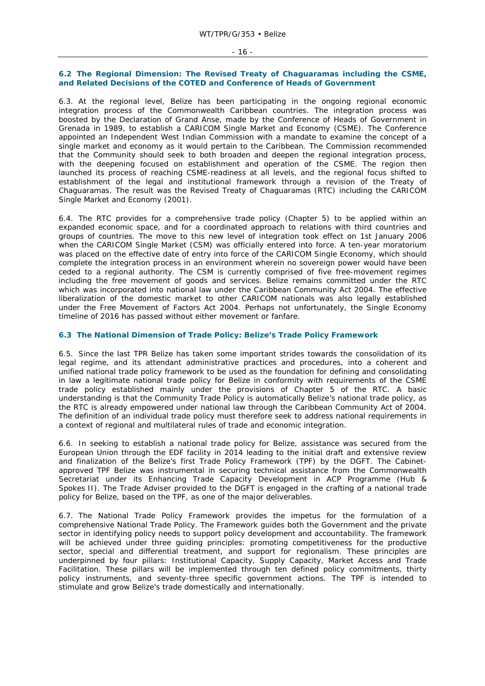### - 16 -

#### **6.2 The Regional Dimension: The Revised Treaty of Chaguaramas including the CSME, and Related Decisions of the COTED and Conference of Heads of Government**

6.3. At the regional level, Belize has been participating in the ongoing regional economic integration process of the Commonwealth Caribbean countries. The integration process was boosted by the Declaration of Grand Anse, made by the Conference of Heads of Government in Grenada in 1989, to establish a CARICOM Single Market and Economy (CSME). The Conference appointed an Independent West Indian Commission with a mandate to examine the concept of a single market and economy as it would pertain to the Caribbean. The Commission recommended that the Community should seek to both broaden and deepen the regional integration process, with the deepening focused on establishment and operation of the CSME. The region then launched its process of reaching CSME-readiness at all levels, and the regional focus shifted to establishment of the legal and institutional framework through a revision of the Treaty of Chaguaramas. The result was the Revised Treaty of Chaguaramas (RTC) including the CARICOM Single Market and Economy (2001).

6.4. The RTC provides for a comprehensive trade policy (Chapter 5) to be applied within an expanded economic space, and for a coordinated approach to relations with third countries and groups of countries. The move to this new level of integration took effect on 1st January 2006 when the CARICOM Single Market (CSM) was officially entered into force. A ten-year moratorium was placed on the effective date of entry into force of the CARICOM Single Economy, which should complete the integration process in an environment wherein no sovereign power would have been ceded to a regional authority. The CSM is currently comprised of five free-movement regimes including the free movement of goods and services. Belize remains committed under the RTC which was incorporated into national law under the Caribbean Community Act 2004. The effective liberalization of the domestic market to other CARICOM nationals was also legally established under the Free Movement of Factors Act 2004. Perhaps not unfortunately, the Single Economy timeline of 2016 has passed without either movement or fanfare.

# **6.3 The National Dimension of Trade Policy: Belize's Trade Policy Framework**

6.5. Since the last TPR Belize has taken some important strides towards the consolidation of its legal regime, and its attendant administrative practices and procedures, into a coherent and unified national trade policy framework to be used as the foundation for defining and consolidating in law a legitimate national trade policy for Belize in conformity with requirements of the CSME trade policy established mainly under the provisions of Chapter 5 of the RTC. A basic understanding is that the Community Trade Policy is automatically Belize's national trade policy, as the RTC is already empowered under national law through the Caribbean Community Act of 2004. The definition of an individual trade policy must therefore seek to address national requirements in a context of regional and multilateral rules of trade and economic integration.

6.6. In seeking to establish a national trade policy for Belize, assistance was secured from the European Union through the EDF facility in 2014 leading to the initial draft and extensive review and finalization of the Belize's first Trade Policy Framework (TPF) by the DGFT. The Cabinetapproved TPF Belize was instrumental in securing technical assistance from the Commonwealth Secretariat under its Enhancing Trade Capacity Development in ACP Programme (Hub & Spokes II). The Trade Adviser provided to the DGFT is engaged in the crafting of a national trade policy for Belize, based on the TPF, as one of the major deliverables.

6.7. The National Trade Policy Framework provides the impetus for the formulation of a comprehensive National Trade Policy. The Framework guides both the Government and the private sector in identifying policy needs to support policy development and accountability. The framework will be achieved under three guiding principles: promoting competitiveness for the productive sector, special and differential treatment, and support for regionalism. These principles are underpinned by four pillars: Institutional Capacity, Supply Capacity, Market Access and Trade Facilitation. These pillars will be implemented through ten defined policy commitments, thirty policy instruments, and seventy-three specific government actions. The TPF is intended to stimulate and grow Belize's trade domestically and internationally.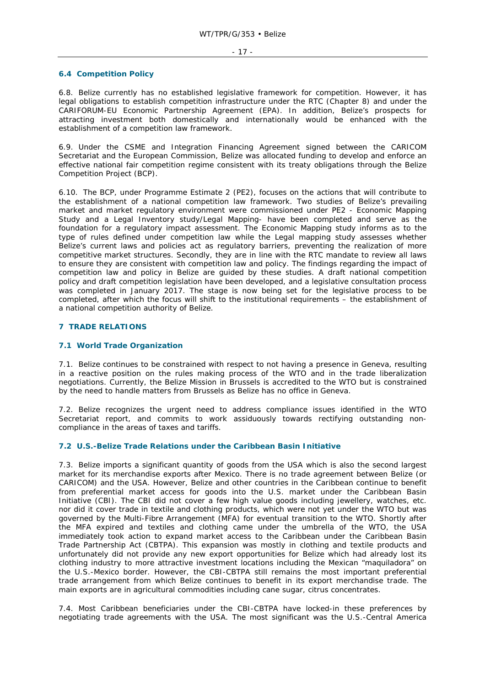# **6.4 Competition Policy**

6.8. Belize currently has no established legislative framework for competition. However, it has legal obligations to establish competition infrastructure under the RTC (Chapter 8) and under the CARIFORUM-EU Economic Partnership Agreement (EPA). In addition, Belize's prospects for attracting investment both domestically and internationally would be enhanced with the establishment of a competition law framework.

6.9. Under the CSME and Integration Financing Agreement signed between the CARICOM Secretariat and the European Commission, Belize was allocated funding to develop and enforce an effective national fair competition regime consistent with its treaty obligations through the Belize Competition Project (BCP).

6.10. The BCP, under Programme Estimate 2 (PE2), focuses on the actions that will contribute to the establishment of a national competition law framework. Two studies of Belize's prevailing market and market regulatory environment were commissioned under PE2 - Economic Mapping Study and a Legal Inventory study/Legal Mapping- have been completed and serve as the foundation for a regulatory impact assessment. The Economic Mapping study informs as to the type of rules defined under competition law while the Legal mapping study assesses whether Belize's current laws and policies act as regulatory barriers, preventing the realization of more competitive market structures. Secondly, they are in line with the RTC mandate to review all laws to ensure they are consistent with competition law and policy. The findings regarding the impact of competition law and policy in Belize are guided by these studies. A draft national competition policy and draft competition legislation have been developed, and a legislative consultation process was completed in January 2017. The stage is now being set for the legislative process to be completed, after which the focus will shift to the institutional requirements – the establishment of a national competition authority of Belize.

# **7 TRADE RELATIONS**

# **7.1 World Trade Organization**

7.1. Belize continues to be constrained with respect to not having a presence in Geneva, resulting in a reactive position on the rules making process of the WTO and in the trade liberalization negotiations. Currently, the Belize Mission in Brussels is accredited to the WTO but is constrained by the need to handle matters from Brussels as Belize has no office in Geneva.

7.2. Belize recognizes the urgent need to address compliance issues identified in the WTO Secretariat report, and commits to work assiduously towards rectifying outstanding noncompliance in the areas of taxes and tariffs.

# **7.2 U.S.-Belize Trade Relations under the Caribbean Basin Initiative**

7.3. Belize imports a significant quantity of goods from the USA which is also the second largest market for its merchandise exports after Mexico. There is no trade agreement between Belize (or CARICOM) and the USA. However, Belize and other countries in the Caribbean continue to benefit from preferential market access for goods into the U.S. market under the Caribbean Basin Initiative (CBI). The CBI did not cover a few high value goods including jewellery, watches, etc. nor did it cover trade in textile and clothing products, which were not yet under the WTO but was governed by the Multi-Fibre Arrangement (MFA) for eventual transition to the WTO. Shortly after the MFA expired and textiles and clothing came under the umbrella of the WTO, the USA immediately took action to expand market access to the Caribbean under the Caribbean Basin Trade Partnership Act (CBTPA). This expansion was mostly in clothing and textile products and unfortunately did not provide any new export opportunities for Belize which had already lost its clothing industry to more attractive investment locations including the Mexican "maquiladora" on the U.S.-Mexico border. However, the CBI-CBTPA still remains the most important preferential trade arrangement from which Belize continues to benefit in its export merchandise trade. The main exports are in agricultural commodities including cane sugar, citrus concentrates.

7.4. Most Caribbean beneficiaries under the CBI-CBTPA have locked-in these preferences by negotiating trade agreements with the USA. The most significant was the U.S.-Central America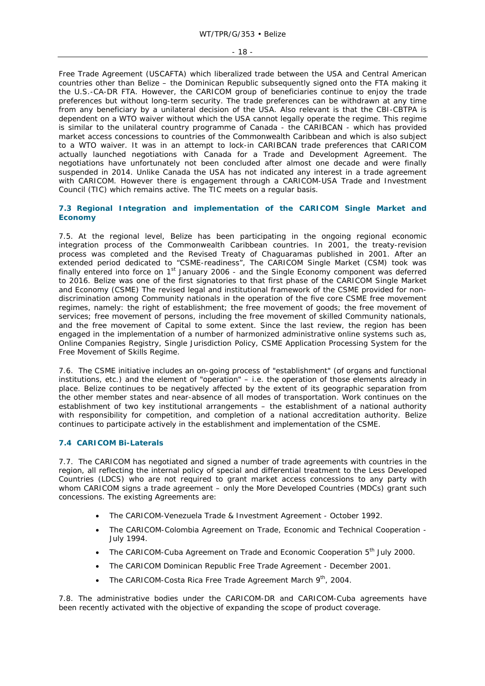Free Trade Agreement (USCAFTA) which liberalized trade between the USA and Central American countries other than Belize – the Dominican Republic subsequently signed onto the FTA making it the U.S.-CA-DR FTA. However, the CARICOM group of beneficiaries continue to enjoy the trade preferences but without long-term security. The trade preferences can be withdrawn at any time from any beneficiary by a unilateral decision of the USA. Also relevant is that the CBI-CBTPA is dependent on a WTO waiver without which the USA cannot legally operate the regime. This regime is similar to the unilateral country programme of Canada - the CARIBCAN - which has provided market access concessions to countries of the Commonwealth Caribbean and which is also subject to a WTO waiver. It was in an attempt to lock-in CARIBCAN trade preferences that CARICOM actually launched negotiations with Canada for a Trade and Development Agreement. The negotiations have unfortunately not been concluded after almost one decade and were finally suspended in 2014. Unlike Canada the USA has not indicated any interest in a trade agreement with CARICOM. However there is engagement through a CARICOM-USA Trade and Investment Council (TIC) which remains active. The TIC meets on a regular basis.

# **7.3 Regional Integration and implementation of the CARICOM Single Market and Economy**

7.5. At the regional level, Belize has been participating in the ongoing regional economic integration process of the Commonwealth Caribbean countries. In 2001, the treaty-revision process was completed and the Revised Treaty of Chaguaramas published in 2001. After an extended period dedicated to "CSME-readiness", The CARICOM Single Market (CSM) took was finally entered into force on 1st January 2006 - and the Single Economy component was deferred to 2016. Belize was one of the first signatories to that first phase of the CARICOM Single Market and Economy (CSME) The revised legal and institutional framework of the CSME provided for nondiscrimination among Community nationals in the operation of the five core CSME free movement regimes, namely: the right of establishment; the free movement of goods; the free movement of services; free movement of persons, including the free movement of skilled Community nationals, and the free movement of Capital to some extent. Since the last review, the region has been engaged in the implementation of a number of harmonized administrative online systems such as, Online Companies Registry, Single Jurisdiction Policy, CSME Application Processing System for the Free Movement of Skills Regime.

7.6. The CSME initiative includes an on-going process of "establishment" (of organs and functional institutions, etc.) and the element of "operation" – i.e. the operation of those elements already in place. Belize continues to be negatively affected by the extent of its geographic separation from the other member states and near-absence of all modes of transportation. Work continues on the establishment of two key institutional arrangements – the establishment of a national authority with responsibility for competition, and completion of a national accreditation authority. Belize continues to participate actively in the establishment and implementation of the CSME.

# **7.4 CARICOM Bi-Laterals**

7.7. The CARICOM has negotiated and signed a number of trade agreements with countries in the region, all reflecting the internal policy of special and differential treatment to the Less Developed Countries (LDCS) who are not required to grant market access concessions to any party with whom CARICOM signs a trade agreement – only the More Developed Countries (MDCs) grant such concessions. The existing Agreements are:

- The CARICOM-Venezuela Trade & Investment Agreement October 1992.
- The CARICOM-Colombia Agreement on Trade, Economic and Technical Cooperation July 1994.
- The CARICOM-Cuba Agreement on Trade and Economic Cooperation 5<sup>th</sup> July 2000.
- The CARICOM Dominican Republic Free Trade Agreement December 2001.
- The CARICOM-Costa Rica Free Trade Agreement March 9<sup>th</sup>, 2004.

7.8. The administrative bodies under the CARICOM-DR and CARICOM-Cuba agreements have been recently activated with the objective of expanding the scope of product coverage.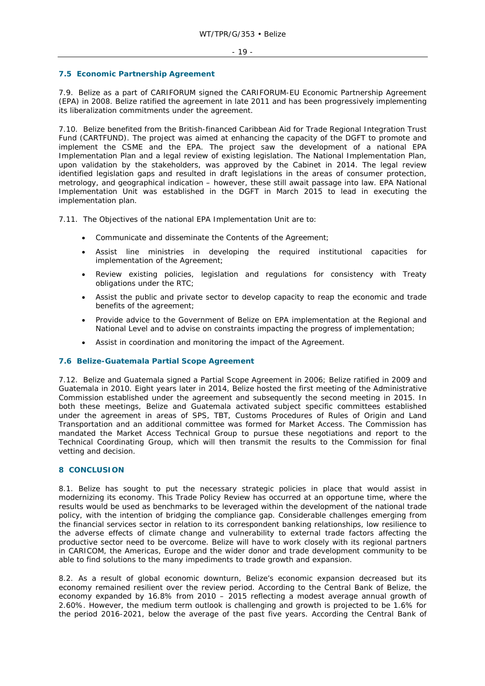# **7.5 Economic Partnership Agreement**

7.9. Belize as a part of CARIFORUM signed the CARIFORUM-EU Economic Partnership Agreement (EPA) in 2008. Belize ratified the agreement in late 2011 and has been progressively implementing its liberalization commitments under the agreement.

7.10. Belize benefited from the British-financed Caribbean Aid for Trade Regional Integration Trust Fund (CARTFUND). The project was aimed at enhancing the capacity of the DGFT to promote and implement the CSME and the EPA. The project saw the development of a national EPA Implementation Plan and a legal review of existing legislation. The National Implementation Plan, upon validation by the stakeholders, was approved by the Cabinet in 2014. The legal review identified legislation gaps and resulted in draft legislations in the areas of consumer protection, metrology, and geographical indication – however, these still await passage into law. EPA National Implementation Unit was established in the DGFT in March 2015 to lead in executing the implementation plan.

7.11. The Objectives of the national EPA Implementation Unit are to:

- Communicate and disseminate the Contents of the Agreement;
- Assist line ministries in developing the required institutional capacities for implementation of the Agreement;
- Review existing policies, legislation and regulations for consistency with Treaty obligations under the RTC;
- Assist the public and private sector to develop capacity to reap the economic and trade benefits of the agreement;
- Provide advice to the Government of Belize on EPA implementation at the Regional and National Level and to advise on constraints impacting the progress of implementation;
- Assist in coordination and monitoring the impact of the Agreement.

# **7.6 Belize-Guatemala Partial Scope Agreement**

7.12. Belize and Guatemala signed a Partial Scope Agreement in 2006; Belize ratified in 2009 and Guatemala in 2010. Eight years later in 2014, Belize hosted the first meeting of the Administrative Commission established under the agreement and subsequently the second meeting in 2015. In both these meetings, Belize and Guatemala activated subject specific committees established under the agreement in areas of SPS, TBT, Customs Procedures of Rules of Origin and Land Transportation and an additional committee was formed for Market Access. The Commission has mandated the Market Access Technical Group to pursue these negotiations and report to the Technical Coordinating Group, which will then transmit the results to the Commission for final vetting and decision.

# **8 CONCLUSION**

8.1. Belize has sought to put the necessary strategic policies in place that would assist in modernizing its economy. This Trade Policy Review has occurred at an opportune time, where the results would be used as benchmarks to be leveraged within the development of the national trade policy, with the intention of bridging the compliance gap. Considerable challenges emerging from the financial services sector in relation to its correspondent banking relationships, low resilience to the adverse effects of climate change and vulnerability to external trade factors affecting the productive sector need to be overcome. Belize will have to work closely with its regional partners in CARICOM, the Americas, Europe and the wider donor and trade development community to be able to find solutions to the many impediments to trade growth and expansion.

8.2. As a result of global economic downturn, Belize's economic expansion decreased but its economy remained resilient over the review period. According to the Central Bank of Belize, the economy expanded by 16.8% from 2010 – 2015 reflecting a modest average annual growth of 2.60%. However, the medium term outlook is challenging and growth is projected to be 1.6% for the period 2016-2021, below the average of the past five years. According the Central Bank of